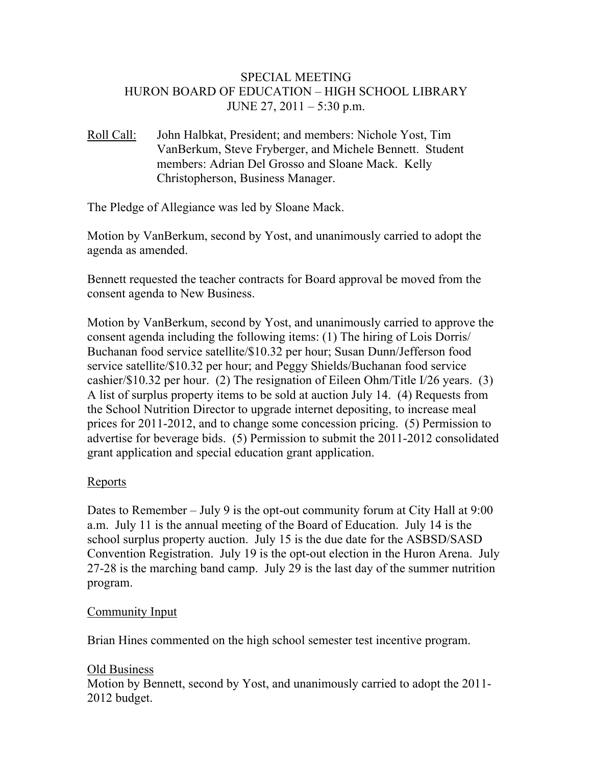## SPECIAL MEETING HURON BOARD OF EDUCATION – HIGH SCHOOL LIBRARY JUNE 27, 2011 – 5:30 p.m.

Roll Call: John Halbkat, President; and members: Nichole Yost, Tim VanBerkum, Steve Fryberger, and Michele Bennett. Student members: Adrian Del Grosso and Sloane Mack. Kelly Christopherson, Business Manager.

The Pledge of Allegiance was led by Sloane Mack.

Motion by VanBerkum, second by Yost, and unanimously carried to adopt the agenda as amended.

Bennett requested the teacher contracts for Board approval be moved from the consent agenda to New Business.

Motion by VanBerkum, second by Yost, and unanimously carried to approve the consent agenda including the following items: (1) The hiring of Lois Dorris/ Buchanan food service satellite/\$10.32 per hour; Susan Dunn/Jefferson food service satellite/\$10.32 per hour; and Peggy Shields/Buchanan food service cashier/\$10.32 per hour. (2) The resignation of Eileen Ohm/Title I/26 years. (3) A list of surplus property items to be sold at auction July 14. (4) Requests from the School Nutrition Director to upgrade internet depositing, to increase meal prices for 2011-2012, and to change some concession pricing. (5) Permission to advertise for beverage bids. (5) Permission to submit the 2011-2012 consolidated grant application and special education grant application.

## Reports

Dates to Remember – July 9 is the opt-out community forum at City Hall at 9:00 a.m. July 11 is the annual meeting of the Board of Education. July 14 is the school surplus property auction. July 15 is the due date for the ASBSD/SASD Convention Registration. July 19 is the opt-out election in the Huron Arena. July 27-28 is the marching band camp. July 29 is the last day of the summer nutrition program.

#### Community Input

Brian Hines commented on the high school semester test incentive program.

## Old Business

Motion by Bennett, second by Yost, and unanimously carried to adopt the 2011- 2012 budget.